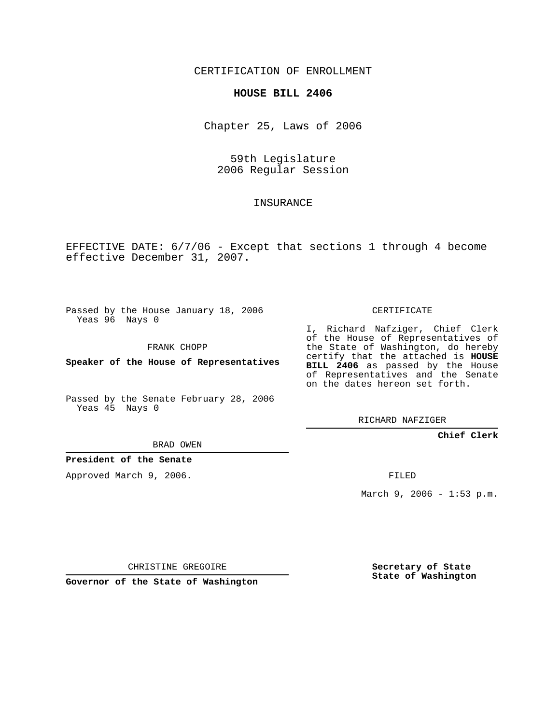## CERTIFICATION OF ENROLLMENT

## **HOUSE BILL 2406**

Chapter 25, Laws of 2006

59th Legislature 2006 Regular Session

## **INSURANCE**

EFFECTIVE DATE: 6/7/06 - Except that sections 1 through 4 become effective December 31, 2007.

Passed by the House January 18, 2006 Yeas 96 Nays 0

FRANK CHOPP

**Speaker of the House of Representatives**

Passed by the Senate February 28, 2006 Yeas 45 Nays 0

I, Richard Nafziger, Chief Clerk

of the House of Representatives of the State of Washington, do hereby certify that the attached is **HOUSE BILL 2406** as passed by the House of Representatives and the Senate on the dates hereon set forth.

CERTIFICATE

RICHARD NAFZIGER

**Chief Clerk**

BRAD OWEN

**President of the Senate**

Approved March 9, 2006.

FILED

March 9, 2006 - 1:53 p.m.

CHRISTINE GREGOIRE

**Governor of the State of Washington**

**Secretary of State State of Washington**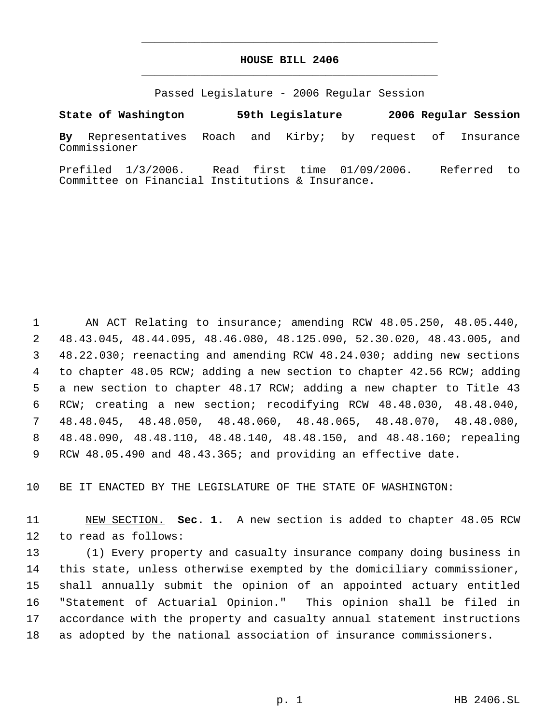## **HOUSE BILL 2406** \_\_\_\_\_\_\_\_\_\_\_\_\_\_\_\_\_\_\_\_\_\_\_\_\_\_\_\_\_\_\_\_\_\_\_\_\_\_\_\_\_\_\_\_\_

\_\_\_\_\_\_\_\_\_\_\_\_\_\_\_\_\_\_\_\_\_\_\_\_\_\_\_\_\_\_\_\_\_\_\_\_\_\_\_\_\_\_\_\_\_

Passed Legislature - 2006 Regular Session

**State of Washington 59th Legislature 2006 Regular Session By** Representatives Roach and Kirby; by request of Insurance

Commissioner

Prefiled 1/3/2006. Read first time 01/09/2006. Referred to Committee on Financial Institutions & Insurance.

 AN ACT Relating to insurance; amending RCW 48.05.250, 48.05.440, 48.43.045, 48.44.095, 48.46.080, 48.125.090, 52.30.020, 48.43.005, and 48.22.030; reenacting and amending RCW 48.24.030; adding new sections to chapter 48.05 RCW; adding a new section to chapter 42.56 RCW; adding a new section to chapter 48.17 RCW; adding a new chapter to Title 43 RCW; creating a new section; recodifying RCW 48.48.030, 48.48.040, 48.48.045, 48.48.050, 48.48.060, 48.48.065, 48.48.070, 48.48.080, 48.48.090, 48.48.110, 48.48.140, 48.48.150, and 48.48.160; repealing RCW 48.05.490 and 48.43.365; and providing an effective date.

BE IT ENACTED BY THE LEGISLATURE OF THE STATE OF WASHINGTON:

 NEW SECTION. **Sec. 1.** A new section is added to chapter 48.05 RCW to read as follows:

 (1) Every property and casualty insurance company doing business in this state, unless otherwise exempted by the domiciliary commissioner, shall annually submit the opinion of an appointed actuary entitled "Statement of Actuarial Opinion." This opinion shall be filed in accordance with the property and casualty annual statement instructions as adopted by the national association of insurance commissioners.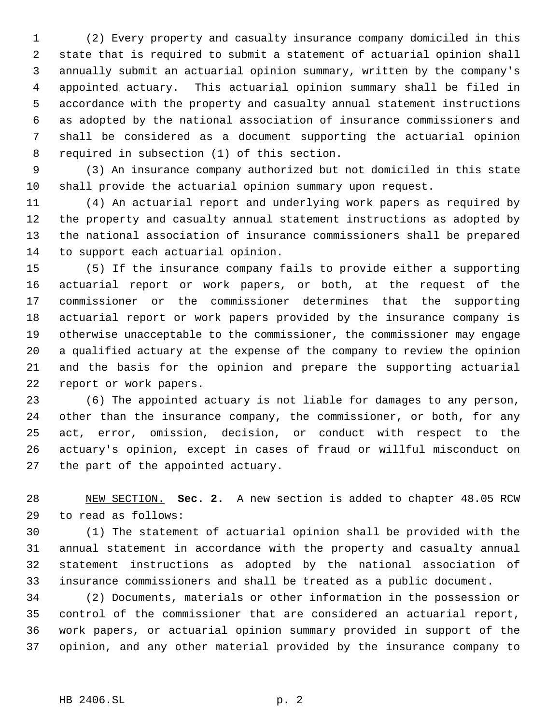(2) Every property and casualty insurance company domiciled in this state that is required to submit a statement of actuarial opinion shall annually submit an actuarial opinion summary, written by the company's appointed actuary. This actuarial opinion summary shall be filed in accordance with the property and casualty annual statement instructions as adopted by the national association of insurance commissioners and shall be considered as a document supporting the actuarial opinion required in subsection (1) of this section.

 (3) An insurance company authorized but not domiciled in this state shall provide the actuarial opinion summary upon request.

 (4) An actuarial report and underlying work papers as required by the property and casualty annual statement instructions as adopted by the national association of insurance commissioners shall be prepared to support each actuarial opinion.

 (5) If the insurance company fails to provide either a supporting actuarial report or work papers, or both, at the request of the commissioner or the commissioner determines that the supporting actuarial report or work papers provided by the insurance company is otherwise unacceptable to the commissioner, the commissioner may engage a qualified actuary at the expense of the company to review the opinion and the basis for the opinion and prepare the supporting actuarial report or work papers.

 (6) The appointed actuary is not liable for damages to any person, other than the insurance company, the commissioner, or both, for any act, error, omission, decision, or conduct with respect to the actuary's opinion, except in cases of fraud or willful misconduct on the part of the appointed actuary.

 NEW SECTION. **Sec. 2.** A new section is added to chapter 48.05 RCW to read as follows:

 (1) The statement of actuarial opinion shall be provided with the annual statement in accordance with the property and casualty annual statement instructions as adopted by the national association of insurance commissioners and shall be treated as a public document.

 (2) Documents, materials or other information in the possession or control of the commissioner that are considered an actuarial report, work papers, or actuarial opinion summary provided in support of the opinion, and any other material provided by the insurance company to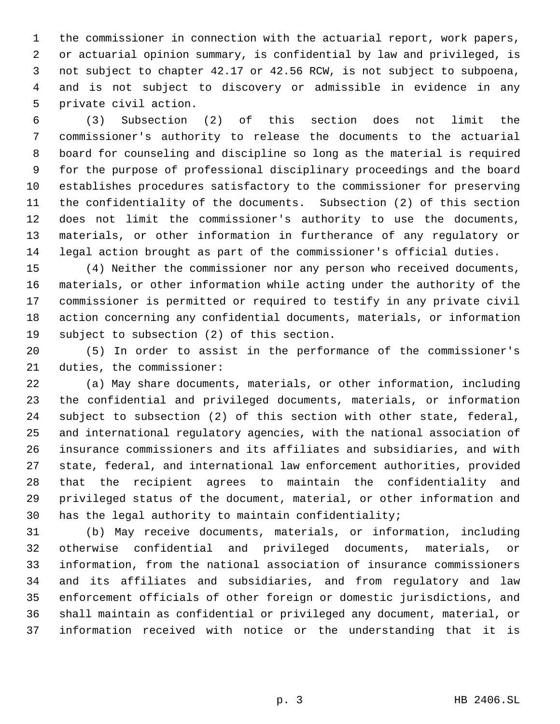the commissioner in connection with the actuarial report, work papers, or actuarial opinion summary, is confidential by law and privileged, is not subject to chapter 42.17 or 42.56 RCW, is not subject to subpoena, and is not subject to discovery or admissible in evidence in any private civil action.

 (3) Subsection (2) of this section does not limit the commissioner's authority to release the documents to the actuarial board for counseling and discipline so long as the material is required for the purpose of professional disciplinary proceedings and the board establishes procedures satisfactory to the commissioner for preserving the confidentiality of the documents. Subsection (2) of this section does not limit the commissioner's authority to use the documents, materials, or other information in furtherance of any regulatory or legal action brought as part of the commissioner's official duties.

 (4) Neither the commissioner nor any person who received documents, materials, or other information while acting under the authority of the commissioner is permitted or required to testify in any private civil action concerning any confidential documents, materials, or information subject to subsection (2) of this section.

 (5) In order to assist in the performance of the commissioner's duties, the commissioner:

 (a) May share documents, materials, or other information, including the confidential and privileged documents, materials, or information subject to subsection (2) of this section with other state, federal, and international regulatory agencies, with the national association of insurance commissioners and its affiliates and subsidiaries, and with state, federal, and international law enforcement authorities, provided that the recipient agrees to maintain the confidentiality and privileged status of the document, material, or other information and has the legal authority to maintain confidentiality;

 (b) May receive documents, materials, or information, including otherwise confidential and privileged documents, materials, or information, from the national association of insurance commissioners and its affiliates and subsidiaries, and from regulatory and law enforcement officials of other foreign or domestic jurisdictions, and shall maintain as confidential or privileged any document, material, or information received with notice or the understanding that it is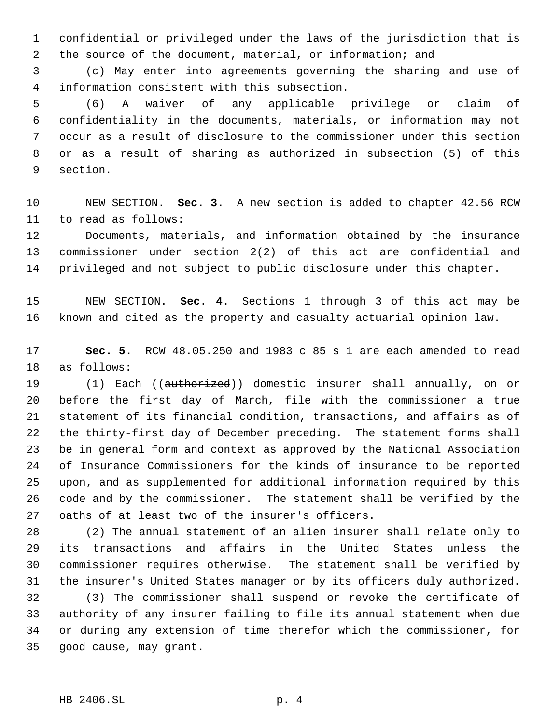confidential or privileged under the laws of the jurisdiction that is the source of the document, material, or information; and

 (c) May enter into agreements governing the sharing and use of information consistent with this subsection.

 (6) A waiver of any applicable privilege or claim of confidentiality in the documents, materials, or information may not occur as a result of disclosure to the commissioner under this section or as a result of sharing as authorized in subsection (5) of this section.

 NEW SECTION. **Sec. 3.** A new section is added to chapter 42.56 RCW to read as follows:

 Documents, materials, and information obtained by the insurance commissioner under section 2(2) of this act are confidential and privileged and not subject to public disclosure under this chapter.

 NEW SECTION. **Sec. 4.** Sections 1 through 3 of this act may be known and cited as the property and casualty actuarial opinion law.

 **Sec. 5.** RCW 48.05.250 and 1983 c 85 s 1 are each amended to read as follows:

19 (1) Each ((authorized)) domestic insurer shall annually, on or before the first day of March, file with the commissioner a true statement of its financial condition, transactions, and affairs as of the thirty-first day of December preceding. The statement forms shall be in general form and context as approved by the National Association of Insurance Commissioners for the kinds of insurance to be reported upon, and as supplemented for additional information required by this code and by the commissioner. The statement shall be verified by the oaths of at least two of the insurer's officers.

 (2) The annual statement of an alien insurer shall relate only to its transactions and affairs in the United States unless the commissioner requires otherwise. The statement shall be verified by the insurer's United States manager or by its officers duly authorized.

 (3) The commissioner shall suspend or revoke the certificate of authority of any insurer failing to file its annual statement when due or during any extension of time therefor which the commissioner, for good cause, may grant.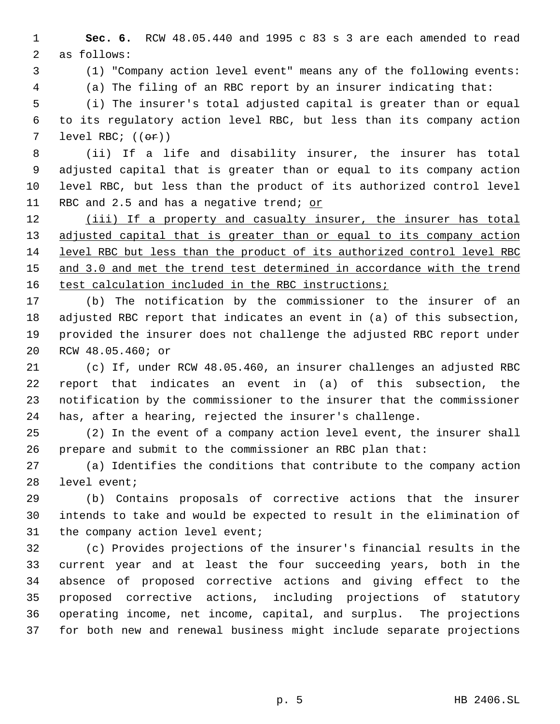**Sec. 6.** RCW 48.05.440 and 1995 c 83 s 3 are each amended to read as follows:

(1) "Company action level event" means any of the following events:

(a) The filing of an RBC report by an insurer indicating that:

 (i) The insurer's total adjusted capital is greater than or equal to its regulatory action level RBC, but less than its company action 7 level RBC;  $((\theta \cdot \hat{r}))$ 

 (ii) If a life and disability insurer, the insurer has total adjusted capital that is greater than or equal to its company action level RBC, but less than the product of its authorized control level 11 RBC and 2.5 and has a negative trend; or

12 (iii) If a property and casualty insurer, the insurer has total 13 adjusted capital that is greater than or equal to its company action level RBC but less than the product of its authorized control level RBC 15 and 3.0 and met the trend test determined in accordance with the trend 16 test calculation included in the RBC instructions;

 (b) The notification by the commissioner to the insurer of an adjusted RBC report that indicates an event in (a) of this subsection, provided the insurer does not challenge the adjusted RBC report under RCW 48.05.460; or

 (c) If, under RCW 48.05.460, an insurer challenges an adjusted RBC report that indicates an event in (a) of this subsection, the notification by the commissioner to the insurer that the commissioner has, after a hearing, rejected the insurer's challenge.

 (2) In the event of a company action level event, the insurer shall prepare and submit to the commissioner an RBC plan that:

 (a) Identifies the conditions that contribute to the company action level event;

 (b) Contains proposals of corrective actions that the insurer intends to take and would be expected to result in the elimination of the company action level event;

 (c) Provides projections of the insurer's financial results in the current year and at least the four succeeding years, both in the absence of proposed corrective actions and giving effect to the proposed corrective actions, including projections of statutory operating income, net income, capital, and surplus. The projections for both new and renewal business might include separate projections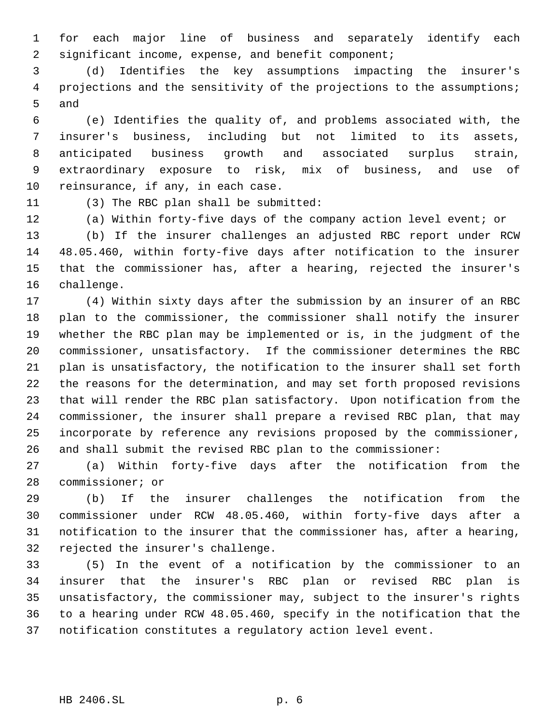for each major line of business and separately identify each significant income, expense, and benefit component;

 (d) Identifies the key assumptions impacting the insurer's 4 projections and the sensitivity of the projections to the assumptions; and

 (e) Identifies the quality of, and problems associated with, the insurer's business, including but not limited to its assets, anticipated business growth and associated surplus strain, extraordinary exposure to risk, mix of business, and use of reinsurance, if any, in each case.

(3) The RBC plan shall be submitted:

(a) Within forty-five days of the company action level event; or

 (b) If the insurer challenges an adjusted RBC report under RCW 48.05.460, within forty-five days after notification to the insurer that the commissioner has, after a hearing, rejected the insurer's challenge.

 (4) Within sixty days after the submission by an insurer of an RBC plan to the commissioner, the commissioner shall notify the insurer whether the RBC plan may be implemented or is, in the judgment of the commissioner, unsatisfactory. If the commissioner determines the RBC plan is unsatisfactory, the notification to the insurer shall set forth the reasons for the determination, and may set forth proposed revisions that will render the RBC plan satisfactory. Upon notification from the commissioner, the insurer shall prepare a revised RBC plan, that may incorporate by reference any revisions proposed by the commissioner, and shall submit the revised RBC plan to the commissioner:

 (a) Within forty-five days after the notification from the commissioner; or

 (b) If the insurer challenges the notification from the commissioner under RCW 48.05.460, within forty-five days after a notification to the insurer that the commissioner has, after a hearing, rejected the insurer's challenge.

 (5) In the event of a notification by the commissioner to an insurer that the insurer's RBC plan or revised RBC plan is unsatisfactory, the commissioner may, subject to the insurer's rights to a hearing under RCW 48.05.460, specify in the notification that the notification constitutes a regulatory action level event.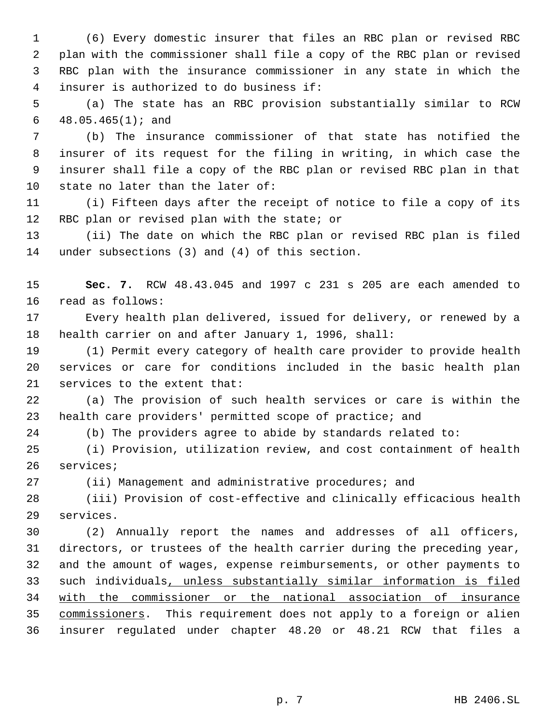(6) Every domestic insurer that files an RBC plan or revised RBC plan with the commissioner shall file a copy of the RBC plan or revised RBC plan with the insurance commissioner in any state in which the insurer is authorized to do business if:

 (a) The state has an RBC provision substantially similar to RCW 48.05.465(1); and

 (b) The insurance commissioner of that state has notified the insurer of its request for the filing in writing, in which case the insurer shall file a copy of the RBC plan or revised RBC plan in that state no later than the later of:

 (i) Fifteen days after the receipt of notice to file a copy of its RBC plan or revised plan with the state; or

 (ii) The date on which the RBC plan or revised RBC plan is filed under subsections (3) and (4) of this section.

 **Sec. 7.** RCW 48.43.045 and 1997 c 231 s 205 are each amended to read as follows:

 Every health plan delivered, issued for delivery, or renewed by a health carrier on and after January 1, 1996, shall:

 (1) Permit every category of health care provider to provide health services or care for conditions included in the basic health plan services to the extent that:

 (a) The provision of such health services or care is within the health care providers' permitted scope of practice; and

(b) The providers agree to abide by standards related to:

 (i) Provision, utilization review, and cost containment of health services;

(ii) Management and administrative procedures; and

 (iii) Provision of cost-effective and clinically efficacious health services.

 (2) Annually report the names and addresses of all officers, directors, or trustees of the health carrier during the preceding year, and the amount of wages, expense reimbursements, or other payments to such individuals, unless substantially similar information is filed with the commissioner or the national association of insurance 35 commissioners. This requirement does not apply to a foreign or alien insurer regulated under chapter 48.20 or 48.21 RCW that files a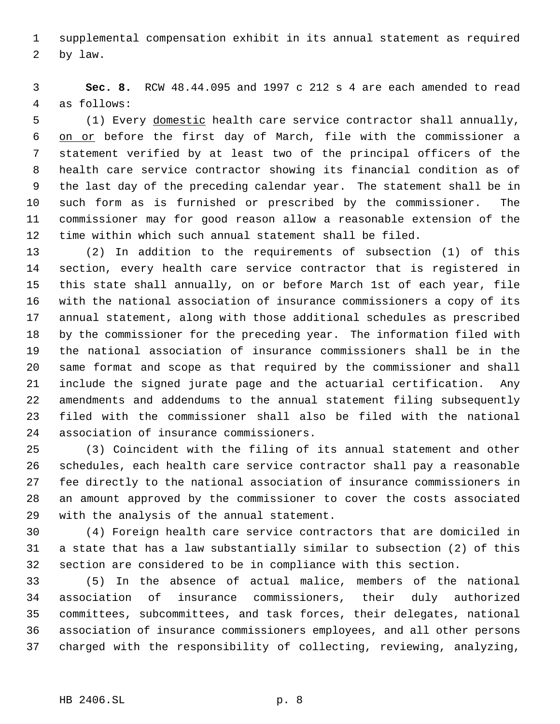supplemental compensation exhibit in its annual statement as required by law.

 **Sec. 8.** RCW 48.44.095 and 1997 c 212 s 4 are each amended to read as follows:

 (1) Every domestic health care service contractor shall annually, on or before the first day of March, file with the commissioner a statement verified by at least two of the principal officers of the health care service contractor showing its financial condition as of the last day of the preceding calendar year. The statement shall be in such form as is furnished or prescribed by the commissioner. The commissioner may for good reason allow a reasonable extension of the time within which such annual statement shall be filed.

 (2) In addition to the requirements of subsection (1) of this section, every health care service contractor that is registered in this state shall annually, on or before March 1st of each year, file with the national association of insurance commissioners a copy of its annual statement, along with those additional schedules as prescribed by the commissioner for the preceding year. The information filed with the national association of insurance commissioners shall be in the same format and scope as that required by the commissioner and shall include the signed jurate page and the actuarial certification. Any amendments and addendums to the annual statement filing subsequently filed with the commissioner shall also be filed with the national association of insurance commissioners.

 (3) Coincident with the filing of its annual statement and other schedules, each health care service contractor shall pay a reasonable fee directly to the national association of insurance commissioners in an amount approved by the commissioner to cover the costs associated with the analysis of the annual statement.

 (4) Foreign health care service contractors that are domiciled in a state that has a law substantially similar to subsection (2) of this section are considered to be in compliance with this section.

 (5) In the absence of actual malice, members of the national association of insurance commissioners, their duly authorized committees, subcommittees, and task forces, their delegates, national association of insurance commissioners employees, and all other persons charged with the responsibility of collecting, reviewing, analyzing,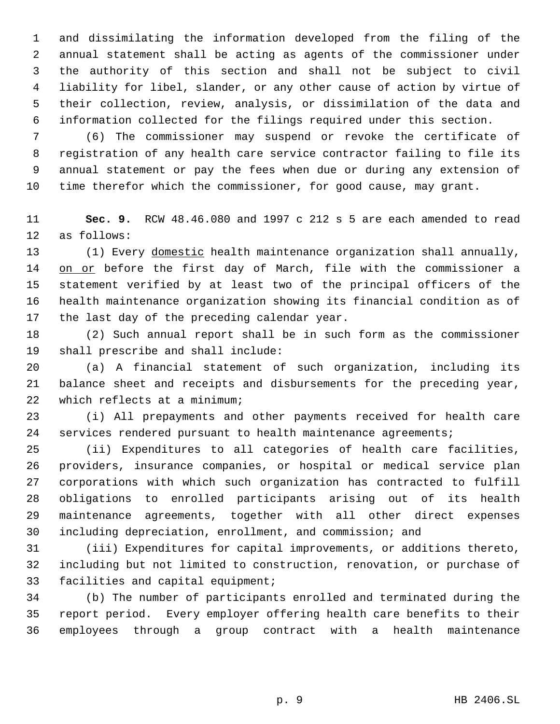and dissimilating the information developed from the filing of the annual statement shall be acting as agents of the commissioner under the authority of this section and shall not be subject to civil liability for libel, slander, or any other cause of action by virtue of their collection, review, analysis, or dissimilation of the data and information collected for the filings required under this section.

 (6) The commissioner may suspend or revoke the certificate of registration of any health care service contractor failing to file its annual statement or pay the fees when due or during any extension of time therefor which the commissioner, for good cause, may grant.

 **Sec. 9.** RCW 48.46.080 and 1997 c 212 s 5 are each amended to read as follows:

 (1) Every domestic health maintenance organization shall annually, 14 on or before the first day of March, file with the commissioner a statement verified by at least two of the principal officers of the health maintenance organization showing its financial condition as of the last day of the preceding calendar year.

 (2) Such annual report shall be in such form as the commissioner shall prescribe and shall include:

 (a) A financial statement of such organization, including its balance sheet and receipts and disbursements for the preceding year, which reflects at a minimum;

 (i) All prepayments and other payments received for health care services rendered pursuant to health maintenance agreements;

 (ii) Expenditures to all categories of health care facilities, providers, insurance companies, or hospital or medical service plan corporations with which such organization has contracted to fulfill obligations to enrolled participants arising out of its health maintenance agreements, together with all other direct expenses including depreciation, enrollment, and commission; and

 (iii) Expenditures for capital improvements, or additions thereto, including but not limited to construction, renovation, or purchase of facilities and capital equipment;

 (b) The number of participants enrolled and terminated during the report period. Every employer offering health care benefits to their employees through a group contract with a health maintenance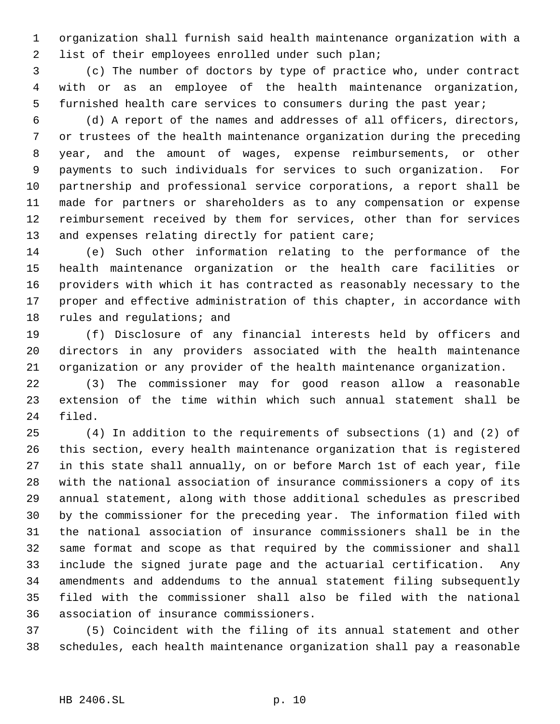organization shall furnish said health maintenance organization with a list of their employees enrolled under such plan;

 (c) The number of doctors by type of practice who, under contract with or as an employee of the health maintenance organization, furnished health care services to consumers during the past year;

 (d) A report of the names and addresses of all officers, directors, or trustees of the health maintenance organization during the preceding year, and the amount of wages, expense reimbursements, or other payments to such individuals for services to such organization. For partnership and professional service corporations, a report shall be made for partners or shareholders as to any compensation or expense reimbursement received by them for services, other than for services and expenses relating directly for patient care;

 (e) Such other information relating to the performance of the health maintenance organization or the health care facilities or providers with which it has contracted as reasonably necessary to the proper and effective administration of this chapter, in accordance with rules and regulations; and

 (f) Disclosure of any financial interests held by officers and directors in any providers associated with the health maintenance organization or any provider of the health maintenance organization.

 (3) The commissioner may for good reason allow a reasonable extension of the time within which such annual statement shall be filed.

 (4) In addition to the requirements of subsections (1) and (2) of this section, every health maintenance organization that is registered in this state shall annually, on or before March 1st of each year, file with the national association of insurance commissioners a copy of its annual statement, along with those additional schedules as prescribed by the commissioner for the preceding year. The information filed with the national association of insurance commissioners shall be in the same format and scope as that required by the commissioner and shall include the signed jurate page and the actuarial certification. Any amendments and addendums to the annual statement filing subsequently filed with the commissioner shall also be filed with the national association of insurance commissioners.

 (5) Coincident with the filing of its annual statement and other schedules, each health maintenance organization shall pay a reasonable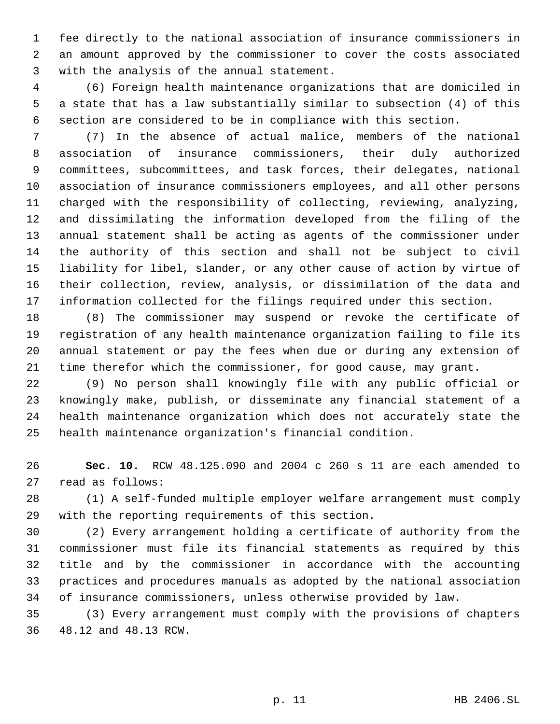fee directly to the national association of insurance commissioners in an amount approved by the commissioner to cover the costs associated with the analysis of the annual statement.

 (6) Foreign health maintenance organizations that are domiciled in a state that has a law substantially similar to subsection (4) of this section are considered to be in compliance with this section.

 (7) In the absence of actual malice, members of the national association of insurance commissioners, their duly authorized committees, subcommittees, and task forces, their delegates, national association of insurance commissioners employees, and all other persons charged with the responsibility of collecting, reviewing, analyzing, and dissimilating the information developed from the filing of the annual statement shall be acting as agents of the commissioner under the authority of this section and shall not be subject to civil liability for libel, slander, or any other cause of action by virtue of their collection, review, analysis, or dissimilation of the data and information collected for the filings required under this section.

 (8) The commissioner may suspend or revoke the certificate of registration of any health maintenance organization failing to file its annual statement or pay the fees when due or during any extension of time therefor which the commissioner, for good cause, may grant.

 (9) No person shall knowingly file with any public official or knowingly make, publish, or disseminate any financial statement of a health maintenance organization which does not accurately state the health maintenance organization's financial condition.

 **Sec. 10.** RCW 48.125.090 and 2004 c 260 s 11 are each amended to read as follows:

 (1) A self-funded multiple employer welfare arrangement must comply with the reporting requirements of this section.

 (2) Every arrangement holding a certificate of authority from the commissioner must file its financial statements as required by this title and by the commissioner in accordance with the accounting practices and procedures manuals as adopted by the national association of insurance commissioners, unless otherwise provided by law.

 (3) Every arrangement must comply with the provisions of chapters 48.12 and 48.13 RCW.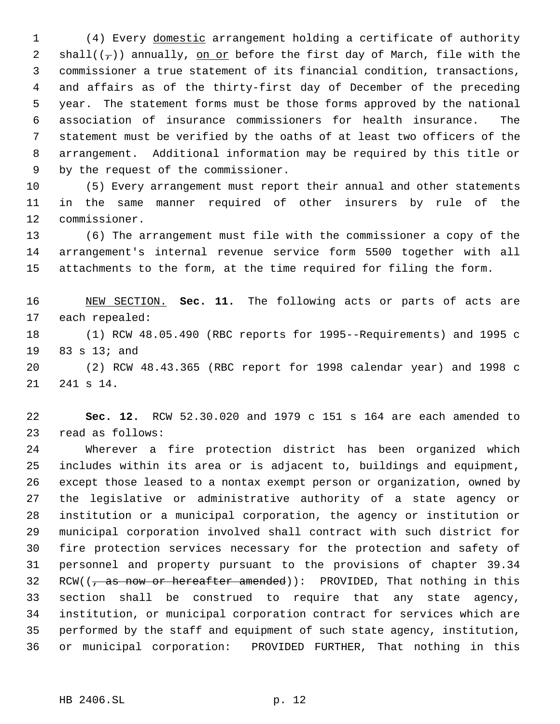(4) Every domestic arrangement holding a certificate of authority 2 shall( $(\tau)$ ) annually, on or before the first day of March, file with the commissioner a true statement of its financial condition, transactions, and affairs as of the thirty-first day of December of the preceding year. The statement forms must be those forms approved by the national association of insurance commissioners for health insurance. The statement must be verified by the oaths of at least two officers of the arrangement. Additional information may be required by this title or by the request of the commissioner.

 (5) Every arrangement must report their annual and other statements in the same manner required of other insurers by rule of the commissioner.

 (6) The arrangement must file with the commissioner a copy of the arrangement's internal revenue service form 5500 together with all attachments to the form, at the time required for filing the form.

 NEW SECTION. **Sec. 11.** The following acts or parts of acts are each repealed:

 (1) RCW 48.05.490 (RBC reports for 1995--Requirements) and 1995 c 83 s 13; and

 (2) RCW 48.43.365 (RBC report for 1998 calendar year) and 1998 c 241 s 14.

 **Sec. 12.** RCW 52.30.020 and 1979 c 151 s 164 are each amended to read as follows:

 Wherever a fire protection district has been organized which includes within its area or is adjacent to, buildings and equipment, except those leased to a nontax exempt person or organization, owned by the legislative or administrative authority of a state agency or institution or a municipal corporation, the agency or institution or municipal corporation involved shall contract with such district for fire protection services necessary for the protection and safety of personnel and property pursuant to the provisions of chapter 39.34 32 RCW( $\left(\frac{1}{2}, \frac{1}{2}, \frac{1}{2}\right)$  as now or hereafter amended)): PROVIDED, That nothing in this section shall be construed to require that any state agency, institution, or municipal corporation contract for services which are performed by the staff and equipment of such state agency, institution, or municipal corporation: PROVIDED FURTHER, That nothing in this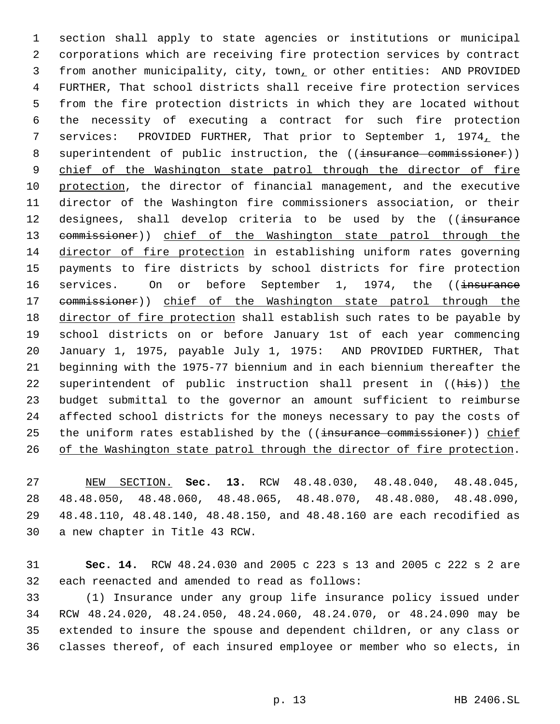section shall apply to state agencies or institutions or municipal corporations which are receiving fire protection services by contract from another municipality, city, town, or other entities: AND PROVIDED FURTHER, That school districts shall receive fire protection services from the fire protection districts in which they are located without the necessity of executing a contract for such fire protection services: PROVIDED FURTHER, That prior to September 1, 1974, the 8 superintendent of public instruction, the ((insurance commissioner)) 9 chief of the Washington state patrol through the director of fire protection, the director of financial management, and the executive director of the Washington fire commissioners association, or their 12 designees, shall develop criteria to be used by the ((insurance 13 commissioner)) chief of the Washington state patrol through the director of fire protection in establishing uniform rates governing payments to fire districts by school districts for fire protection 16 services. On or before September 1, 1974, the ((insurance 17 commissioner)) chief of the Washington state patrol through the director of fire protection shall establish such rates to be payable by school districts on or before January 1st of each year commencing January 1, 1975, payable July 1, 1975: AND PROVIDED FURTHER, That beginning with the 1975-77 biennium and in each biennium thereafter the 22 superintendent of public instruction shall present in ((his)) the budget submittal to the governor an amount sufficient to reimburse affected school districts for the moneys necessary to pay the costs of 25 the uniform rates established by the ((insurance commissioner)) chief 26 of the Washington state patrol through the director of fire protection.

 NEW SECTION. **Sec. 13.** RCW 48.48.030, 48.48.040, 48.48.045, 48.48.050, 48.48.060, 48.48.065, 48.48.070, 48.48.080, 48.48.090, 48.48.110, 48.48.140, 48.48.150, and 48.48.160 are each recodified as a new chapter in Title 43 RCW.

 **Sec. 14.** RCW 48.24.030 and 2005 c 223 s 13 and 2005 c 222 s 2 are each reenacted and amended to read as follows:

 (1) Insurance under any group life insurance policy issued under RCW 48.24.020, 48.24.050, 48.24.060, 48.24.070, or 48.24.090 may be extended to insure the spouse and dependent children, or any class or classes thereof, of each insured employee or member who so elects, in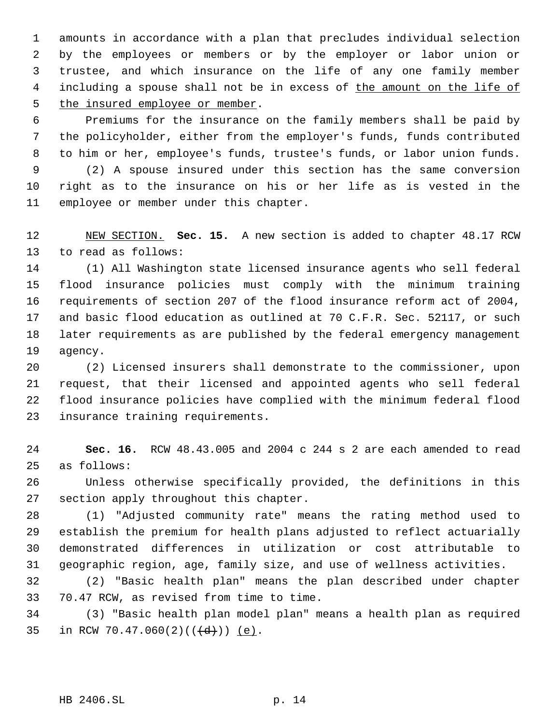amounts in accordance with a plan that precludes individual selection by the employees or members or by the employer or labor union or trustee, and which insurance on the life of any one family member 4 including a spouse shall not be in excess of the amount on the life of 5 the insured employee or member.

 Premiums for the insurance on the family members shall be paid by the policyholder, either from the employer's funds, funds contributed to him or her, employee's funds, trustee's funds, or labor union funds. (2) A spouse insured under this section has the same conversion right as to the insurance on his or her life as is vested in the employee or member under this chapter.

 NEW SECTION. **Sec. 15.** A new section is added to chapter 48.17 RCW to read as follows:

 (1) All Washington state licensed insurance agents who sell federal flood insurance policies must comply with the minimum training requirements of section 207 of the flood insurance reform act of 2004, and basic flood education as outlined at 70 C.F.R. Sec. 52117, or such later requirements as are published by the federal emergency management agency.

 (2) Licensed insurers shall demonstrate to the commissioner, upon request, that their licensed and appointed agents who sell federal flood insurance policies have complied with the minimum federal flood insurance training requirements.

 **Sec. 16.** RCW 48.43.005 and 2004 c 244 s 2 are each amended to read as follows:

 Unless otherwise specifically provided, the definitions in this section apply throughout this chapter.

 (1) "Adjusted community rate" means the rating method used to establish the premium for health plans adjusted to reflect actuarially demonstrated differences in utilization or cost attributable to geographic region, age, family size, and use of wellness activities.

 (2) "Basic health plan" means the plan described under chapter 70.47 RCW, as revised from time to time.

 (3) "Basic health plan model plan" means a health plan as required 35 in RCW 70.47.060(2)( $(\frac{d}{d})$ ) (e).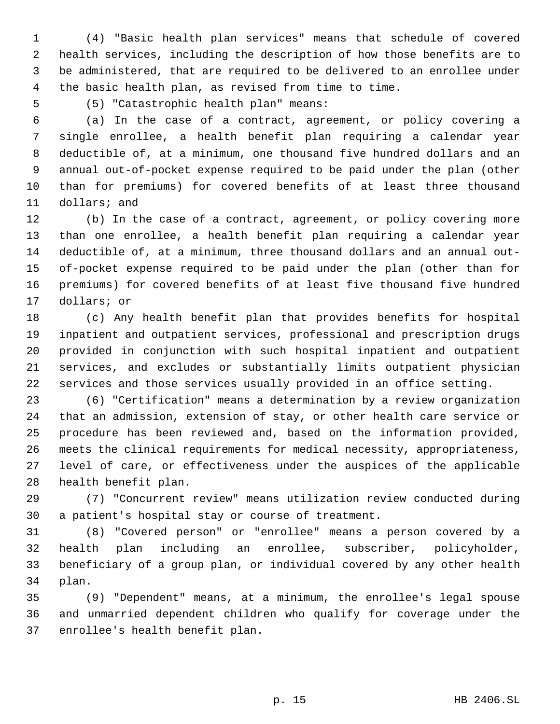(4) "Basic health plan services" means that schedule of covered health services, including the description of how those benefits are to be administered, that are required to be delivered to an enrollee under the basic health plan, as revised from time to time.

(5) "Catastrophic health plan" means:

 (a) In the case of a contract, agreement, or policy covering a single enrollee, a health benefit plan requiring a calendar year deductible of, at a minimum, one thousand five hundred dollars and an annual out-of-pocket expense required to be paid under the plan (other than for premiums) for covered benefits of at least three thousand dollars; and

 (b) In the case of a contract, agreement, or policy covering more than one enrollee, a health benefit plan requiring a calendar year deductible of, at a minimum, three thousand dollars and an annual out- of-pocket expense required to be paid under the plan (other than for premiums) for covered benefits of at least five thousand five hundred dollars; or

 (c) Any health benefit plan that provides benefits for hospital inpatient and outpatient services, professional and prescription drugs provided in conjunction with such hospital inpatient and outpatient services, and excludes or substantially limits outpatient physician services and those services usually provided in an office setting.

 (6) "Certification" means a determination by a review organization that an admission, extension of stay, or other health care service or procedure has been reviewed and, based on the information provided, meets the clinical requirements for medical necessity, appropriateness, level of care, or effectiveness under the auspices of the applicable health benefit plan.

 (7) "Concurrent review" means utilization review conducted during a patient's hospital stay or course of treatment.

 (8) "Covered person" or "enrollee" means a person covered by a health plan including an enrollee, subscriber, policyholder, beneficiary of a group plan, or individual covered by any other health plan.

 (9) "Dependent" means, at a minimum, the enrollee's legal spouse and unmarried dependent children who qualify for coverage under the enrollee's health benefit plan.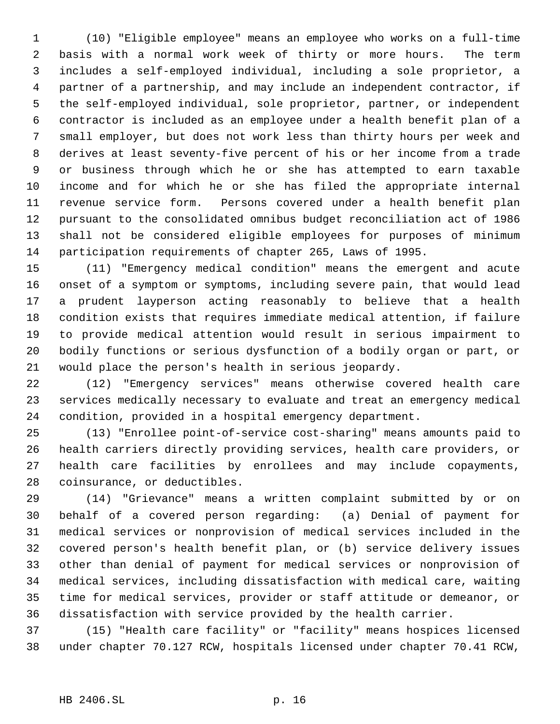(10) "Eligible employee" means an employee who works on a full-time basis with a normal work week of thirty or more hours. The term includes a self-employed individual, including a sole proprietor, a partner of a partnership, and may include an independent contractor, if the self-employed individual, sole proprietor, partner, or independent contractor is included as an employee under a health benefit plan of a small employer, but does not work less than thirty hours per week and derives at least seventy-five percent of his or her income from a trade or business through which he or she has attempted to earn taxable income and for which he or she has filed the appropriate internal revenue service form. Persons covered under a health benefit plan pursuant to the consolidated omnibus budget reconciliation act of 1986 shall not be considered eligible employees for purposes of minimum participation requirements of chapter 265, Laws of 1995.

 (11) "Emergency medical condition" means the emergent and acute onset of a symptom or symptoms, including severe pain, that would lead a prudent layperson acting reasonably to believe that a health condition exists that requires immediate medical attention, if failure to provide medical attention would result in serious impairment to bodily functions or serious dysfunction of a bodily organ or part, or would place the person's health in serious jeopardy.

 (12) "Emergency services" means otherwise covered health care services medically necessary to evaluate and treat an emergency medical condition, provided in a hospital emergency department.

 (13) "Enrollee point-of-service cost-sharing" means amounts paid to health carriers directly providing services, health care providers, or health care facilities by enrollees and may include copayments, coinsurance, or deductibles.

 (14) "Grievance" means a written complaint submitted by or on behalf of a covered person regarding: (a) Denial of payment for medical services or nonprovision of medical services included in the covered person's health benefit plan, or (b) service delivery issues other than denial of payment for medical services or nonprovision of medical services, including dissatisfaction with medical care, waiting time for medical services, provider or staff attitude or demeanor, or dissatisfaction with service provided by the health carrier.

 (15) "Health care facility" or "facility" means hospices licensed under chapter 70.127 RCW, hospitals licensed under chapter 70.41 RCW,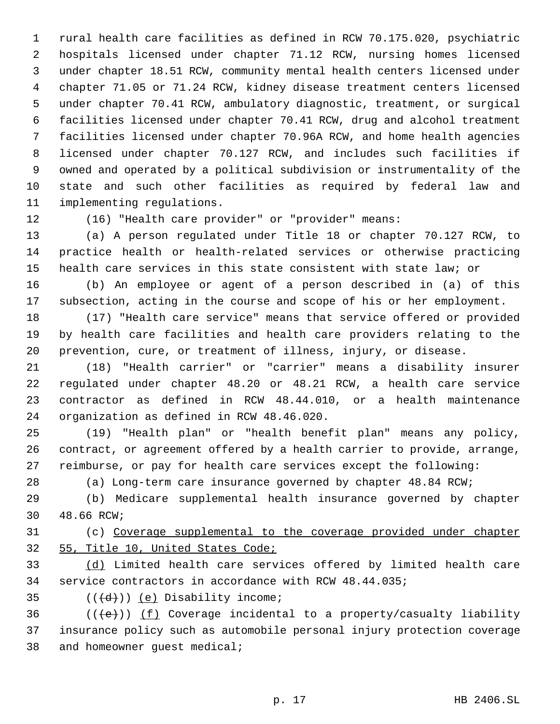rural health care facilities as defined in RCW 70.175.020, psychiatric hospitals licensed under chapter 71.12 RCW, nursing homes licensed under chapter 18.51 RCW, community mental health centers licensed under chapter 71.05 or 71.24 RCW, kidney disease treatment centers licensed under chapter 70.41 RCW, ambulatory diagnostic, treatment, or surgical facilities licensed under chapter 70.41 RCW, drug and alcohol treatment facilities licensed under chapter 70.96A RCW, and home health agencies licensed under chapter 70.127 RCW, and includes such facilities if owned and operated by a political subdivision or instrumentality of the state and such other facilities as required by federal law and implementing regulations.

(16) "Health care provider" or "provider" means:

 (a) A person regulated under Title 18 or chapter 70.127 RCW, to practice health or health-related services or otherwise practicing health care services in this state consistent with state law; or

 (b) An employee or agent of a person described in (a) of this subsection, acting in the course and scope of his or her employment.

 (17) "Health care service" means that service offered or provided by health care facilities and health care providers relating to the prevention, cure, or treatment of illness, injury, or disease.

 (18) "Health carrier" or "carrier" means a disability insurer regulated under chapter 48.20 or 48.21 RCW, a health care service contractor as defined in RCW 48.44.010, or a health maintenance organization as defined in RCW 48.46.020.

 (19) "Health plan" or "health benefit plan" means any policy, contract, or agreement offered by a health carrier to provide, arrange, reimburse, or pay for health care services except the following:

(a) Long-term care insurance governed by chapter 48.84 RCW;

 (b) Medicare supplemental health insurance governed by chapter 48.66 RCW;

 (c) Coverage supplemental to the coverage provided under chapter 55, Title 10, United States Code;

 (d) Limited health care services offered by limited health care service contractors in accordance with RCW 48.44.035;

- 
- 35  $((\overline{d}))(e)$  Disability income;

36  $((\text{+e})^*)$  (f) Coverage incidental to a property/casualty liability insurance policy such as automobile personal injury protection coverage and homeowner guest medical;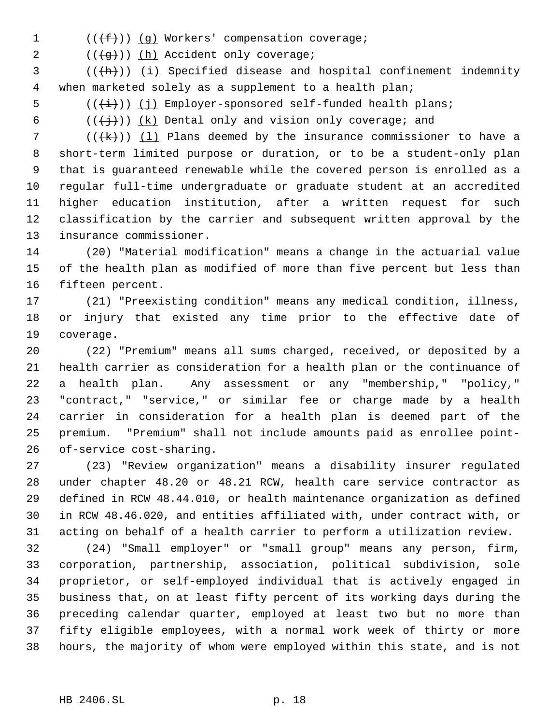1 (((f)) (g) Workers' compensation coverage;

2 (((g))) (h) Accident only coverage;

 (( $\frac{h}{h}$ )) <u>(i)</u> Specified disease and hospital confinement indemnity when marketed solely as a supplement to a health plan;

5  $((\overleftrightarrow{t}))$  (j) Employer-sponsored self-funded health plans;

6  $((\n\digamma)(\n\digamma)(k)$  Dental only and vision only coverage; and

7 ( $(\{k\})$ )  $(1)$  Plans deemed by the insurance commissioner to have a short-term limited purpose or duration, or to be a student-only plan that is guaranteed renewable while the covered person is enrolled as a regular full-time undergraduate or graduate student at an accredited higher education institution, after a written request for such classification by the carrier and subsequent written approval by the insurance commissioner.

 (20) "Material modification" means a change in the actuarial value of the health plan as modified of more than five percent but less than fifteen percent.

 (21) "Preexisting condition" means any medical condition, illness, or injury that existed any time prior to the effective date of coverage.

 (22) "Premium" means all sums charged, received, or deposited by a health carrier as consideration for a health plan or the continuance of a health plan. Any assessment or any "membership," "policy," "contract," "service," or similar fee or charge made by a health carrier in consideration for a health plan is deemed part of the premium. "Premium" shall not include amounts paid as enrollee point-of-service cost-sharing.

 (23) "Review organization" means a disability insurer regulated under chapter 48.20 or 48.21 RCW, health care service contractor as defined in RCW 48.44.010, or health maintenance organization as defined in RCW 48.46.020, and entities affiliated with, under contract with, or acting on behalf of a health carrier to perform a utilization review.

 (24) "Small employer" or "small group" means any person, firm, corporation, partnership, association, political subdivision, sole proprietor, or self-employed individual that is actively engaged in business that, on at least fifty percent of its working days during the preceding calendar quarter, employed at least two but no more than fifty eligible employees, with a normal work week of thirty or more hours, the majority of whom were employed within this state, and is not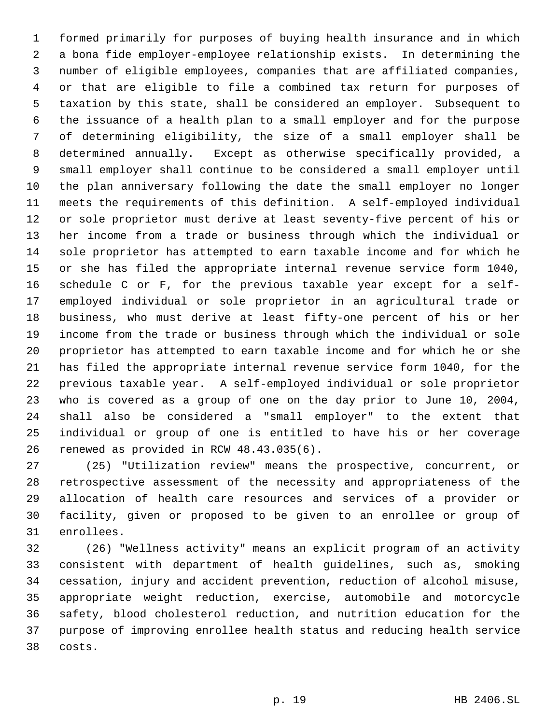formed primarily for purposes of buying health insurance and in which a bona fide employer-employee relationship exists. In determining the number of eligible employees, companies that are affiliated companies, or that are eligible to file a combined tax return for purposes of taxation by this state, shall be considered an employer. Subsequent to the issuance of a health plan to a small employer and for the purpose of determining eligibility, the size of a small employer shall be determined annually. Except as otherwise specifically provided, a small employer shall continue to be considered a small employer until the plan anniversary following the date the small employer no longer meets the requirements of this definition. A self-employed individual or sole proprietor must derive at least seventy-five percent of his or her income from a trade or business through which the individual or sole proprietor has attempted to earn taxable income and for which he or she has filed the appropriate internal revenue service form 1040, schedule C or F, for the previous taxable year except for a self- employed individual or sole proprietor in an agricultural trade or business, who must derive at least fifty-one percent of his or her income from the trade or business through which the individual or sole proprietor has attempted to earn taxable income and for which he or she has filed the appropriate internal revenue service form 1040, for the previous taxable year. A self-employed individual or sole proprietor who is covered as a group of one on the day prior to June 10, 2004, shall also be considered a "small employer" to the extent that individual or group of one is entitled to have his or her coverage renewed as provided in RCW 48.43.035(6).

 (25) "Utilization review" means the prospective, concurrent, or retrospective assessment of the necessity and appropriateness of the allocation of health care resources and services of a provider or facility, given or proposed to be given to an enrollee or group of enrollees.

 (26) "Wellness activity" means an explicit program of an activity consistent with department of health guidelines, such as, smoking cessation, injury and accident prevention, reduction of alcohol misuse, appropriate weight reduction, exercise, automobile and motorcycle safety, blood cholesterol reduction, and nutrition education for the purpose of improving enrollee health status and reducing health service costs.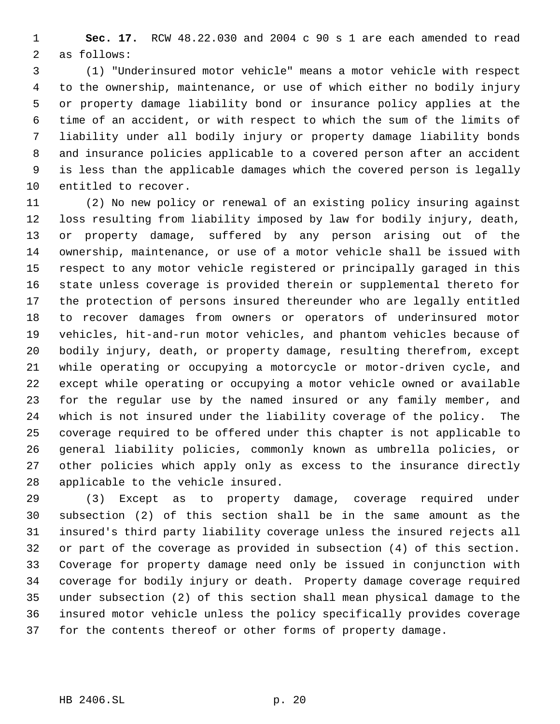**Sec. 17.** RCW 48.22.030 and 2004 c 90 s 1 are each amended to read as follows:

 (1) "Underinsured motor vehicle" means a motor vehicle with respect to the ownership, maintenance, or use of which either no bodily injury or property damage liability bond or insurance policy applies at the time of an accident, or with respect to which the sum of the limits of liability under all bodily injury or property damage liability bonds and insurance policies applicable to a covered person after an accident is less than the applicable damages which the covered person is legally entitled to recover.

 (2) No new policy or renewal of an existing policy insuring against loss resulting from liability imposed by law for bodily injury, death, or property damage, suffered by any person arising out of the ownership, maintenance, or use of a motor vehicle shall be issued with respect to any motor vehicle registered or principally garaged in this state unless coverage is provided therein or supplemental thereto for the protection of persons insured thereunder who are legally entitled to recover damages from owners or operators of underinsured motor vehicles, hit-and-run motor vehicles, and phantom vehicles because of bodily injury, death, or property damage, resulting therefrom, except while operating or occupying a motorcycle or motor-driven cycle, and except while operating or occupying a motor vehicle owned or available for the regular use by the named insured or any family member, and which is not insured under the liability coverage of the policy. The coverage required to be offered under this chapter is not applicable to general liability policies, commonly known as umbrella policies, or other policies which apply only as excess to the insurance directly applicable to the vehicle insured.

 (3) Except as to property damage, coverage required under subsection (2) of this section shall be in the same amount as the insured's third party liability coverage unless the insured rejects all or part of the coverage as provided in subsection (4) of this section. Coverage for property damage need only be issued in conjunction with coverage for bodily injury or death. Property damage coverage required under subsection (2) of this section shall mean physical damage to the insured motor vehicle unless the policy specifically provides coverage for the contents thereof or other forms of property damage.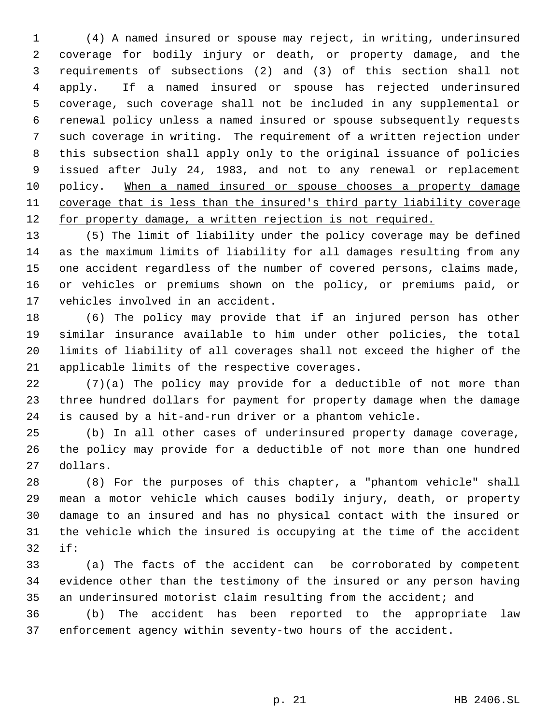(4) A named insured or spouse may reject, in writing, underinsured coverage for bodily injury or death, or property damage, and the requirements of subsections (2) and (3) of this section shall not apply. If a named insured or spouse has rejected underinsured coverage, such coverage shall not be included in any supplemental or renewal policy unless a named insured or spouse subsequently requests such coverage in writing. The requirement of a written rejection under this subsection shall apply only to the original issuance of policies issued after July 24, 1983, and not to any renewal or replacement 10 policy. When a named insured or spouse chooses a property damage coverage that is less than the insured's third party liability coverage 12 for property damage, a written rejection is not required.

 (5) The limit of liability under the policy coverage may be defined as the maximum limits of liability for all damages resulting from any one accident regardless of the number of covered persons, claims made, or vehicles or premiums shown on the policy, or premiums paid, or vehicles involved in an accident.

 (6) The policy may provide that if an injured person has other similar insurance available to him under other policies, the total limits of liability of all coverages shall not exceed the higher of the applicable limits of the respective coverages.

 (7)(a) The policy may provide for a deductible of not more than three hundred dollars for payment for property damage when the damage is caused by a hit-and-run driver or a phantom vehicle.

 (b) In all other cases of underinsured property damage coverage, the policy may provide for a deductible of not more than one hundred dollars.

 (8) For the purposes of this chapter, a "phantom vehicle" shall mean a motor vehicle which causes bodily injury, death, or property damage to an insured and has no physical contact with the insured or the vehicle which the insured is occupying at the time of the accident if:

 (a) The facts of the accident can be corroborated by competent evidence other than the testimony of the insured or any person having an underinsured motorist claim resulting from the accident; and

 (b) The accident has been reported to the appropriate law enforcement agency within seventy-two hours of the accident.